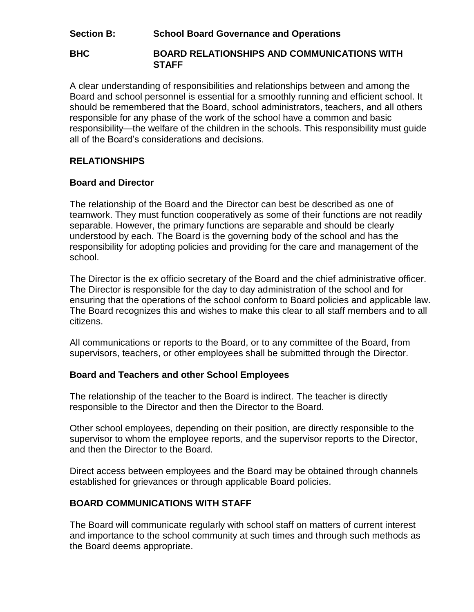# **Section B: School Board Governance and Operations**

#### **BHC BOARD RELATIONSHIPS AND COMMUNICATIONS WITH STAFF**

A clear understanding of responsibilities and relationships between and among the Board and school personnel is essential for a smoothly running and efficient school. It should be remembered that the Board, school administrators, teachers, and all others responsible for any phase of the work of the school have a common and basic responsibility—the welfare of the children in the schools. This responsibility must guide all of the Board's considerations and decisions.

# **RELATIONSHIPS**

### **Board and Director**

The relationship of the Board and the Director can best be described as one of teamwork. They must function cooperatively as some of their functions are not readily separable. However, the primary functions are separable and should be clearly understood by each. The Board is the governing body of the school and has the responsibility for adopting policies and providing for the care and management of the school.

The Director is the ex officio secretary of the Board and the chief administrative officer. The Director is responsible for the day to day administration of the school and for ensuring that the operations of the school conform to Board policies and applicable law. The Board recognizes this and wishes to make this clear to all staff members and to all citizens.

All communications or reports to the Board, or to any committee of the Board, from supervisors, teachers, or other employees shall be submitted through the Director.

### **Board and Teachers and other School Employees**

The relationship of the teacher to the Board is indirect. The teacher is directly responsible to the Director and then the Director to the Board.

Other school employees, depending on their position, are directly responsible to the supervisor to whom the employee reports, and the supervisor reports to the Director, and then the Director to the Board.

Direct access between employees and the Board may be obtained through channels established for grievances or through applicable Board policies.

# **BOARD COMMUNICATIONS WITH STAFF**

The Board will communicate regularly with school staff on matters of current interest and importance to the school community at such times and through such methods as the Board deems appropriate.